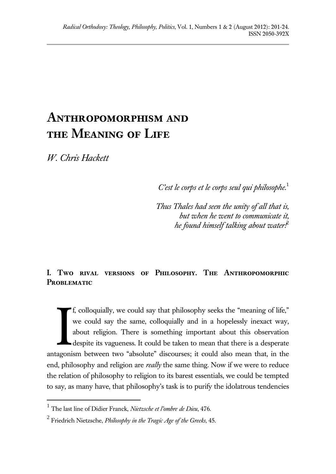# **Anthropomorphism and the Meaning of Life**

*W. Chris Hackett*

 $\overline{a}$ 

*C'est le corps et le corps seul qui philosophe.*<sup>1</sup>

*Thus Thales had seen the unity of all that is, but when he went to communicate it, he found himself talking about water!*<sup>2</sup>

## **I. Two rival versions of Philosophy. The Anthropomorphic**  PROBLEMATIC

f, colloquially, we could say that philosophy seeks the "meaning of life," we could say the same, colloquially and in a hopelessly inexact way, about religion. There is something important about this observation despite its vagueness. It could be taken to mean that there is a desperate antagonism between two "absolute" discourses; it could also mean that, in the end, philosophy and religion are *really* the same thing. Now if we were to reduce the relation of philosophy to religion to its barest essentials, we could be tempted to say, as many have, that philosophy's task is to purify the idolatrous tendencies I

<sup>1</sup> The last line of Didier Franck, *Nietzsche et l'ombre de Dieu*, 476.

<sup>2</sup> Friedrich Nietzsche, *Philosophy in the Tragic Age of the Greeks*, 45.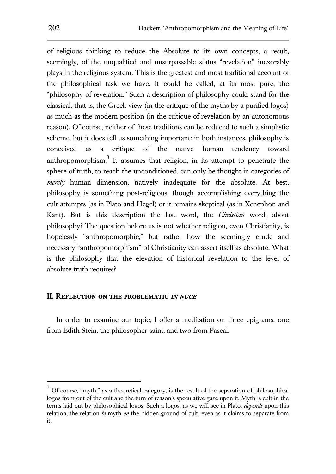of religious thinking to reduce the Absolute to its own concepts, a result, seemingly, of the unqualified and unsurpassable status "revelation" inexorably plays in the religious system. This is the greatest and most traditional account of the philosophical task we have. It could be called, at its most pure, the "philosophy of revelation." Such a description of philosophy could stand for the classical, that is, the Greek view (in the critique of the myths by a purified logos) as much as the modern position (in the critique of revelation by an autonomous reason). Of course, neither of these traditions can be reduced to such a simplistic scheme, but it does tell us something important: in both instances, philosophy is conceived as a critique of the native human tendency toward anthropomorphism. $3$  It assumes that religion, in its attempt to penetrate the sphere of truth, to reach the unconditioned, can only be thought in categories of *merely* human dimension, natively inadequate for the absolute. At best, philosophy is something post-religious, though accomplishing everything the cult attempts (as in Plato and Hegel) or it remains skeptical (as in Xenephon and Kant). But is this description the last word, the *Christian* word, about philosophy? The question before us is not whether religion, even Christianity, is hopelessly "anthropomorphic," but rather how the seemingly crude and necessary "anthropomorphism" of Christianity can assert itself as absolute. What is the philosophy that the elevation of historical revelation to the level of absolute truth requires?

#### **II. Reflection on the problematic in nuce**

In order to examine our topic, I offer a meditation on three epigrams, one from Edith Stein, the philosopher-saint, and two from Pascal.

 $3$  Of course, "myth," as a theoretical category, is the result of the separation of philosophical logos from out of the cult and the turn of reason's speculative gaze upon it. Myth is cult in the terms laid out by philosophical logos. Such a logos, as we will see in Plato, *depends* upon this relation, the relation *to* myth *on* the hidden ground of cult, even as it claims to separate from it.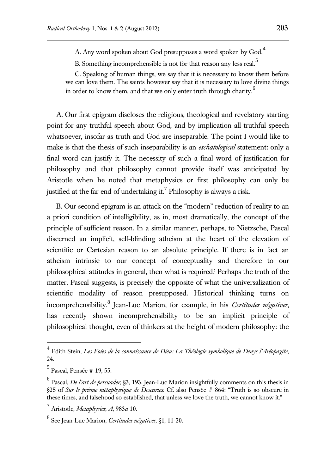A. Any word spoken about God presupposes a word spoken by God.<sup>4</sup>

B. Something incomprehensible is not for that reason any less real.<sup>5</sup>

C. Speaking of human things, we say that it is necessary to know them before we can love them. The saints however say that it is necessary to love divine things in order to know them, and that we only enter truth through charity.<sup>6</sup>

A. Our first epigram discloses the religious, theological and revelatory starting point for any truthful speech about God, and by implication all truthful speech whatsoever, insofar as truth and God are inseparable. The point I would like to make is that the thesis of such inseparability is an *eschatological* statement: only a final word can justify it. The necessity of such a final word of justification for philosophy and that philosophy cannot provide itself was anticipated by Aristotle when he noted that metaphysics or first philosophy can only be justified at the far end of undertaking it.<sup>7</sup> Philosophy is always a risk.

B. Our second epigram is an attack on the "modern" reduction of reality to an a priori condition of intelligibility, as in, most dramatically, the concept of the principle of sufficient reason. In a similar manner, perhaps, to Nietzsche, Pascal discerned an implicit, self-blinding atheism at the heart of the elevation of scientific or Cartesian reason to an absolute principle. If there is in fact an atheism intrinsic to our concept of conceptuality and therefore to our philosophical attitudes in general, then what is required? Perhaps the truth of the matter, Pascal suggests, is precisely the opposite of what the universalization of scientific modality of reason presupposed. Historical thinking turns on incomprehensibility.<sup>8</sup> Jean-Luc Marion, for example, in his *Certitudes négatives*, has recently shown incomprehensibility to be an implicit principle of philosophical thought, even of thinkers at the height of modern philosophy: the

 4 Edith Stein, *Les Voies de la connaissance de Dieu: La Théologie symbolique de Denys l'Aréopagite*, 24.

<sup>5</sup> Pascal, Pensée # 19, 55.

<sup>6</sup> Pascal, *De l'art de persuader*, §3, 193. Jean-Luc Marion insightfully comments on this thesis in §25 of *Sur le prisme métaphysique de Descartes*. Cf. also Pensée # 864: "Truth is so obscure in these times, and falsehood so established, that unless we love the truth, we cannot know it."

<sup>7</sup> Aristotle, *Metaphysics*, *A*, 983*a* 10.

<sup>8</sup> See Jean-Luc Marion, *Certitudes négatives*, §1, 11-20.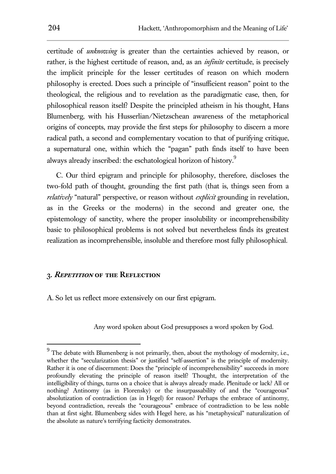certitude of *unknowing* is greater than the certainties achieved by reason, or rather, is the highest certitude of reason, and, as an *infinite* certitude, is precisely the implicit principle for the lesser certitudes of reason on which modern philosophy is erected. Does such a principle of "insufficient reason" point to the theological, the religious and to revelation as the paradigmatic case, then, for philosophical reason itself? Despite the principled atheism in his thought, Hans Blumenberg, with his Husserlian/Nietzschean awareness of the metaphorical origins of concepts, may provide the first steps for philosophy to discern a more radical path, a second and complementary vocation to that of purifying critique, a supernatural one, within which the "pagan" path finds itself to have been always already inscribed: the eschatological horizon of history.<sup>9</sup>

C. Our third epigram and principle for philosophy, therefore, discloses the two-fold path of thought, grounding the first path (that is, things seen from a *relatively* "natural" perspective, or reason without *explicit* grounding in revelation, as in the Greeks or the moderns) in the second and greater one, the epistemology of sanctity, where the proper insolubility or incomprehensibility basic to philosophical problems is not solved but nevertheless finds its greatest realization as incomprehensible, insoluble and therefore most fully philosophical.

#### **3. Repetition of the Reflection**

 $\overline{a}$ 

A. So let us reflect more extensively on our first epigram.

Any word spoken about God presupposes a word spoken by God.

 $9<sup>9</sup>$  The debate with Blumenberg is not primarily, then, about the mythology of modernity, i.e., whether the "secularization thesis" or justified "self-assertion" is the principle of modernity. Rather it is one of discernment: Does the "principle of incomprehensibility" succeeds in more profoundly elevating the principle of reason itself? Thought, the interpretation of the intelligibility of things, turns on a choice that is always already made. Plenitude or lack? All or nothing? Antinomy (as in Florensky) or the insurpassability of and the "courageous" absolutization of contradiction (as in Hegel) for reason? Perhaps the embrace of antinomy, beyond contradiction, reveals the "courageous" embrace of contradiction to be less noble than at first sight. Blumenberg sides with Hegel here, as his "metaphysical" naturalization of the absolute as nature's terrifying facticity demonstrates.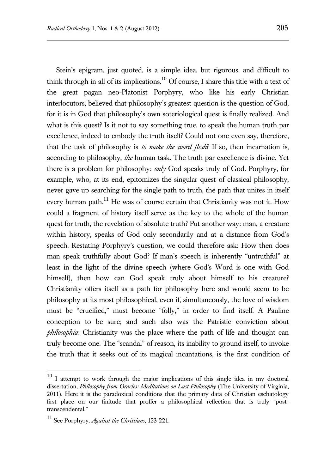Stein's epigram, just quoted, is a simple idea, but rigorous, and difficult to think through in all of its implications.<sup>10</sup> Of course, I share this title with a text of the great pagan neo-Platonist Porphyry, who like his early Christian interlocutors, believed that philosophy's greatest question is the question of God, for it is in God that philosophy's own soteriological quest is finally realized. And what is this quest? Is it not to say something true, to speak the human truth par excellence, indeed to embody the truth itself? Could not one even say, therefore, that the task of philosophy is *to make the word flesh*? If so, then incarnation is, according to philosophy, *the* human task. The truth par excellence is divine. Yet there is a problem for philosophy: *only* God speaks truly of God. Porphyry, for example, who, at its end, epitomizes the singular quest of classical philosophy, never gave up searching for the single path to truth, the path that unites in itself every human path.<sup>11</sup> He was of course certain that Christianity was not it. How could a fragment of history itself serve as the key to the whole of the human quest for truth, the revelation of absolute truth? Put another way: man, a creature within history, speaks of God only secondarily and at a distance from God's speech. Restating Porphyry's question, we could therefore ask: How then does man speak truthfully about God? If man's speech is inherently "untruthful" at least in the light of the divine speech (where God's Word is one with God himself), then how can God speak truly about himself to his creature? Christianity offers itself as a path for philosophy here and would seem to be philosophy at its most philosophical, even if, simultaneously, the love of wisdom must be "crucified," must become "folly," in order to find itself. A Pauline conception to be sure; and such also was the Patristic conviction about *philosophia*: Christianity was the place where the path of life and thought can truly become one. The "scandal" of reason, its inability to ground itself, to invoke the truth that it seeks out of its magical incantations, is the first condition of

<sup>&</sup>lt;sup>10</sup> I attempt to work through the major implications of this single idea in my doctoral dissertation, *Philosophy from Oracles: Meditations on Last Philosophy* (The University of Virginia, 2011). Here it is the paradoxical conditions that the primary data of Christian eschatology first place on our finitude that proffer a philosophical reflection that is truly "posttranscendental."

<sup>11</sup> See Porphyry, *Against the Christians*, 123-221.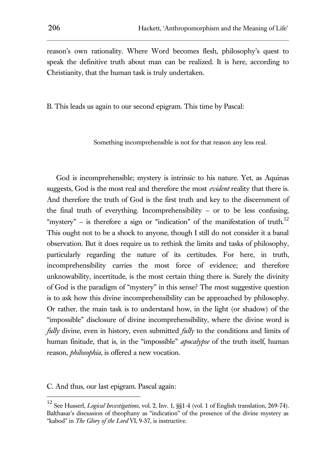reason's own rationality. Where Word becomes flesh, philosophy's quest to speak the definitive truth about man can be realized. It is here, according to Christianity, that the human task is truly undertaken.

B. This leads us again to our second epigram. This time by Pascal:

Something incomprehensible is not for that reason any less real.

God is incomprehensible; mystery is intrinsic to his nature. Yet, as Aquinas suggests, God is the most real and therefore the most *evident* reality that there is. And therefore the truth of God is the first truth and key to the discernment of the final truth of everything. Incomprehensibility – or to be less confusing, "mystery" – is therefore a sign or "indication" of the manifestation of truth.<sup>12</sup> This ought not to be a shock to anyone, though I still do not consider it a banal observation. But it does require us to rethink the limits and tasks of philosophy, particularly regarding the nature of its certitudes. For here, in truth, incomprehensibility carries the most force of evidence; and therefore unknowability, incertitude, is the most certain thing there is. Surely the divinity of God is the paradigm of "mystery" in this sense? The most suggestive question is to ask how this divine incomprehensibility can be approached by philosophy. Or rather, the main task is to understand how, in the light (or shadow) of the "impossible" disclosure of divine incomprehensibility, where the divine word is *fully* divine, even in history, even submitted *fully* to the conditions and limits of human finitude, that is, in the "impossible" *apocalypse* of the truth itself, human reason, *philosophia*, is offered a new vocation.

C. And thus, our last epigram. Pascal again:

<sup>12</sup> See Husserl, *Logical Investigations*, vol. 2, Inv. 1, §§1-4 (vol. 1 of English translation, 269-74). Balthasar's discussion of theophany as "indication" of the presence of the divine mystery as "kabod" in *The Glory of the Lord* VI, 9-37, is instructive.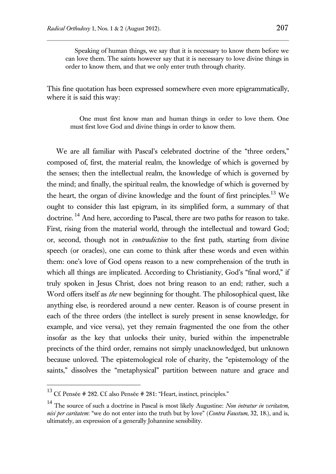Speaking of human things, we say that it is necessary to know them before we can love them. The saints however say that it is necessary to love divine things in order to know them, and that we only enter truth through charity.

This fine quotation has been expressed somewhere even more epigrammatically, where it is said this way:

One must first know man and human things in order to love them. One must first love God and divine things in order to know them.

We are all familiar with Pascal's celebrated doctrine of the "three orders," composed of, first, the material realm, the knowledge of which is governed by the senses; then the intellectual realm, the knowledge of which is governed by the mind; and finally, the spiritual realm, the knowledge of which is governed by the heart, the organ of divine knowledge and the fount of first principles.<sup>13</sup> We ought to consider this last epigram, in its simplified form, a summary of that doctrine.<sup>14</sup> And here, according to Pascal, there are two paths for reason to take. First, rising from the material world, through the intellectual and toward God; or, second, though not in *contradiction* to the first path, starting from divine speech (or oracles), one can come to think after these words and even within them: one's love of God opens reason to a new comprehension of the truth in which all things are implicated. According to Christianity, God's "final word," if truly spoken in Jesus Christ, does not bring reason to an end; rather, such a Word offers itself as *the* new beginning for thought. The philosophical quest, like anything else, is reordered around a new center. Reason is of course present in each of the three orders (the intellect is surely present in sense knowledge, for example, and vice versa), yet they remain fragmented the one from the other insofar as the key that unlocks their unity, buried within the impenetrable precincts of the third order, remains not simply unacknowledged, but unknown because unloved. The epistemological role of charity, the "epistemology of the saints," dissolves the "metaphysical" partition between nature and grace and

<sup>&</sup>lt;sup>13</sup> Cf. Pensée # 282. Cf. also Pensée # 281: "Heart, instinct, principles."

<sup>14</sup> The source of such a doctrine in Pascal is most likely Augustine: *Non intratur in veritatem, nisi per caritatem*: "we do not enter into the truth but by love" (*Contra Faustum*, 32, 18.), and is, ultimately, an expression of a generally Johannine sensibility.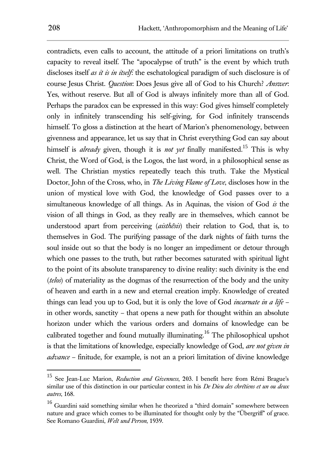contradicts, even calls to account, the attitude of a priori limitations on truth's capacity to reveal itself. The "apocalypse of truth" is the event by which truth discloses itself *as it is in itself*: the eschatological paradigm of such disclosure is of course Jesus Christ. *Question*: Does Jesus give all of God to his Church? *Answer*: Yes, without reserve. But all of God is always infinitely more than all of God. Perhaps the paradox can be expressed in this way: God gives himself completely only in infinitely transcending his self-giving, for God infinitely transcends himself. To gloss a distinction at the heart of Marion's phenomenology, between givenness and appearance, let us say that in Christ everything God can say about himself is *already* given, though it is *not yet* finally manifested. <sup>15</sup> This is why Christ, the Word of God, is the Logos, the last word, in a philosophical sense as well. The Christian mystics repeatedly teach this truth. Take the Mystical Doctor, John of the Cross, who, in *The Living Flame of Love*, discloses how in the union of mystical love with God, the knowledge of God passes over to a simultaneous knowledge of all things. As in Aquinas, the vision of God *is* the vision of all things in God, as they really are in themselves, which cannot be understood apart from perceiving (*aisthêsis*) their relation to God, that is, to themselves in God. The purifying passage of the dark nights of faith turns the soul inside out so that the body is no longer an impediment or detour through which one passes to the truth, but rather becomes saturated with spiritual light to the point of its absolute transparency to divine reality: such divinity is the end (*telos*) of materiality as the dogmas of the resurrection of the body and the unity of heaven and earth in a new and eternal creation imply. Knowledge of created things can lead you up to God, but it is only the love of God *incarnate in a life* – in other words, sanctity – that opens a new path for thought within an absolute horizon under which the various orders and domains of knowledge can be calibrated together and found mutually illuminating.<sup>16</sup> The philosophical upshot is that the limitations of knowledge, especially knowledge of God, *are not given in advance* – finitude, for example, is not an a priori limitation of divine knowledge

<sup>15</sup> See Jean-Luc Marion, *Reduction and Givenness*, 203. I benefit here from Rémi Brague's similar use of this distinction in our particular context in his *De Dieu des chrétiens et un ou deux autres*, 168.

<sup>&</sup>lt;sup>16</sup> Guardini said something similar when he theorized a "third domain" somewhere between nature and grace which comes to be illuminated for thought only by the "Übergriff" of grace. See Romano Guardini, *Welt und Person*, 1939.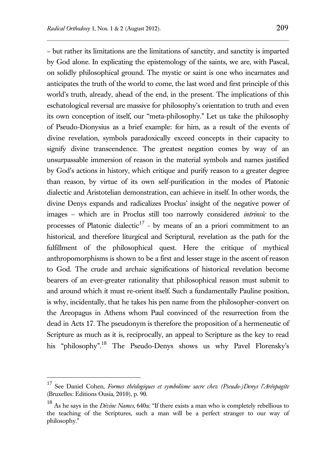– but rather its limitations are the limitations of sanctity, and sanctity is imparted by God alone. In explicating the epistemology of the saints, we are, with Pascal, on solidly philosophical ground. The mystic or saint is one who incarnates and anticipates the truth of the world to come, the last word and first principle of this world's truth, already, ahead of the end, in the present. The implications of this eschatological reversal are massive for philosophy's orientation to truth and even its own conception of itself, our "meta-philosophy." Let us take the philosophy of Pseudo-Dionysius as a brief example: for him, as a result of the events of divine revelation, symbols paradoxically exceed concepts in their capacity to signify divine transcendence. The greatest negation comes by way of an unsurpassable immersion of reason in the material symbols and names justified by God's actions in history, which critique and purify reason to a greater degree than reason, by virtue of its own self-purification in the modes of Platonic dialectic and Aristotelian demonstration, can achieve in itself. In other words, the divine Denys expands and radicalizes Proclus' insight of the negative power of images – which are in Proclus still too narrowly considered *intrinsic* to the processes of Platonic dialectic<sup>17</sup> - by means of an a priori commitment to an historical, and therefore liturgical and Scriptural, revelation as the path for the fulfillment of the philosophical quest. Here the critique of mythical anthropomorphisms is shown to be a first and lesser stage in the ascent of reason to God. The crude and archaic significations of historical revelation become bearers of an ever-greater rationality that philosophical reason must submit to and around which it must re-orient itself. Such a fundamentally Pauline position, is why, incidentally, that he takes his pen name from the philosopher-convert on the Areopagus in Athens whom Paul convinced of the resurrection from the dead in Acts 17. The pseudonym is therefore the proposition of a hermeneutic of Scripture as much as it is, reciprocally, an appeal to Scripture as the key to read his "philosophy".<sup>18</sup> The Pseudo-Denys shows us why Pavel Florensky's

<sup>17</sup> See Daniel Cohen, *Formes théologiques et symbolisme sacre chez (Pseudo-)Denys l'Aréopagite* (Bruxelles: Editions Ousia, 2010), p. 90.

<sup>18</sup> As he says in the *Divine Names*, 640a: "If there exists a man who is completely rebellious to the teaching of the Scriptures, such a man will be a perfect stranger to our way of philosophy."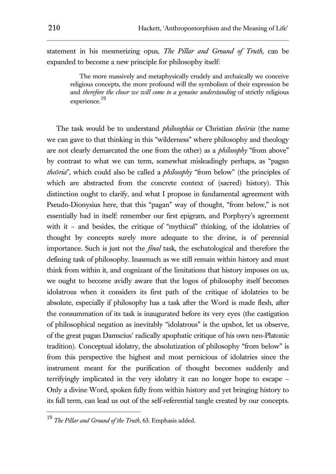statement in his mesmerizing opus, *The Pillar and Ground of Truth*, can be expanded to become a new principle for philosophy itself:

The more massively and metaphysically crudely and archaically we conceive religious concepts, the more profound will the symbolism of their expression be and *therefore the closer we will come to a genuine understanding* of strictly religious experience.<sup>19</sup>

The task would be to understand *philosophia* or Christian *theōria* (the name we can gave to that thinking in this "wilderness" where philosophy and theology are not clearly demarcated the one from the other) as a *philosophy* "from above" by contrast to what we can term, somewhat misleadingly perhaps, as "pagan *theōria*", which could also be called a *philosophy* "from below" (the principles of which are abstracted from the concrete context of (sacred) history). This distinction ought to clarify, and what I propose in fundamental agreement with Pseudo-Dionysius here, that this "pagan" way of thought, "from below," is not essentially bad in itself: remember our first epigram, and Porphyry's agreement with it – and besides, the critique of "mythical" thinking, of the idolatries of thought by concepts surely more adequate to the divine, is of perennial importance. Such is just not the *final* task, the eschatological and therefore the defining task of philosophy. Inasmuch as we still remain within history and must think from within it, and cognizant of the limitations that history imposes on us, we ought to become avidly aware that the logos of philosophy itself becomes idolatrous when it considers its first path of the critique of idolatries to be absolute, especially if philosophy has a task after the Word is made flesh, after the consummation of its task is inaugurated before its very eyes (the castigation of philosophical negation as inevitably "idolatrous" is the upshot, let us observe, of the great pagan Damscius' radically apophatic critique of his own neo-Platonic tradition). Conceptual idolatry, the absolutization of philosophy "from below" is from this perspective the highest and most pernicious of idolatries since the instrument meant for the purification of thought becomes suddenly and terrifyingly implicated in the very idolatry it can no longer hope to escape – Only a divine Word, spoken fully from within history and yet bringing history to its full term, can lead us out of the self-referential tangle created by our concepts.

<sup>19</sup> *The Pillar and Ground of the Truth*, 63. Emphasis added.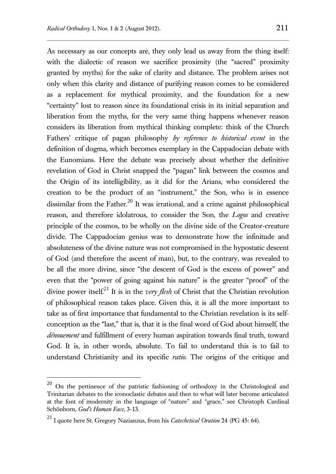As necessary as our concepts are, they only lead us away from the thing itself: with the dialectic of reason we sacrifice proximity (the "sacred" proximity granted by myths) for the sake of clarity and distance. The problem arises not only when this clarity and distance of purifying reason comes to be considered as a replacement for mythical proximity, and the foundation for a new "certainty" lost to reason since its foundational crisis in its initial separation and liberation from the myths, for the very same thing happens whenever reason considers its liberation from mythical thinking complete: think of the Church Fathers' critique of pagan philosophy *by reference to historical event* in the definition of dogma, which becomes exemplary in the Cappadocian debate with the Eunomians. Here the debate was precisely about whether the definitive revelation of God in Christ snapped the "pagan" link between the cosmos and the Origin of its intelligibility, as it did for the Arians, who considered the creation to be the product of an "instrument," the Son, who is in essence dissimilar from the Father.<sup>20</sup> It was irrational, and a crime against philosophical reason, and therefore idolatrous, to consider the Son, the *Logos* and creative principle of the cosmos, to be wholly on the divine side of the Creator-creature divide. The Cappadocian genius was to demonstrate how the infinitude and absoluteness of the divine nature was not compromised in the hypostatic descent of God (and therefore the ascent of man), but, to the contrary, was revealed to be all the more divine, since "the descent of God is the excess of power" and even that the "power of going against his nature" is the greater "proof" of the divine power itself.<sup>21</sup> It is in the *very flesh* of Christ that the Christian revolution of philosophical reason takes place. Given this, it is all the more important to take as of first importance that fundamental to the Christian revelation is its selfconception as the "last," that is, that it is the final word of God about himself, the *dénouement* and fulfillment of every human aspiration towards final truth, toward God. It is, in other words, absolute. To fail to understand this is to fail to understand Christianity and its specific *ratio*. The origins of the critique and

 $20$  On the pertinence of the patristic fashioning of orthodoxy in the Christological and Trinitarian debates to the iconoclastic debates and then to what will later become articulated at the font of modernity in the language of "nature" and "grace," see Christoph Cardinal Schönborn, *God's Human Face,* 3-13.

<sup>21</sup> I quote here St. Gregory Nazianzus, from his *Catechetical Oration* 24 (PG 45: 64).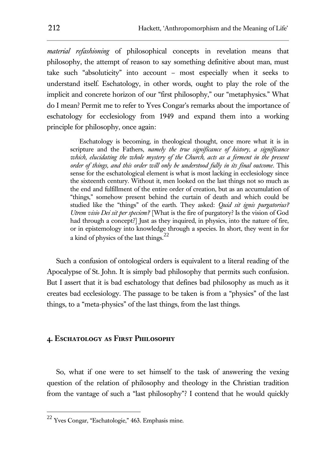*material refashioning* of philosophical concepts in revelation means that philosophy, the attempt of reason to say something definitive about man, must take such "absoluticity" into account – most especially when it seeks to understand itself. Eschatology, in other words, ought to play the role of the implicit and concrete horizon of our "first philosophy," our "metaphysics." What do I mean? Permit me to refer to Yves Congar's remarks about the importance of eschatology for ecclesiology from 1949 and expand them into a working principle for philosophy, once again:

Eschatology is becoming, in theological thought, once more what it is in scripture and the Fathers, *namely the true significance of history, a significance which, elucidating the whole mystery of the Church, acts as a ferment in the present order of things, and this order will only be understood fully in its final outcome*. This sense for the eschatological element is what is most lacking in ecclesiology since the sixteenth century. Without it, men looked on the last things not so much as the end and fulfillment of the entire order of creation, but as an accumulation of "things," somehow present behind the curtain of death and which could be studied like the "things" of the earth. They asked: *Quid sit ignis purgatorius? Utrem visio Dei sit per speciem?* [What is the fire of purgatory? Is the vision of God had through a concept?] Just as they inquired, in physics, into the nature of fire, or in epistemology into knowledge through a species. In short, they went in for a kind of physics of the last things.<sup>22</sup>

Such a confusion of ontological orders is equivalent to a literal reading of the Apocalypse of St. John. It is simply bad philosophy that permits such confusion. But I assert that it is bad eschatology that defines bad philosophy as much as it creates bad ecclesiology. The passage to be taken is from a "physics" of the last things, to a "meta-physics" of the last things, from the last things.

#### **4. Eschatology as First Philosophy**

So, what if one were to set himself to the task of answering the vexing question of the relation of philosophy and theology in the Christian tradition from the vantage of such a "last philosophy"? I contend that he would quickly

<sup>22</sup> Yves Congar, "Eschatologie," 463. Emphasis mine.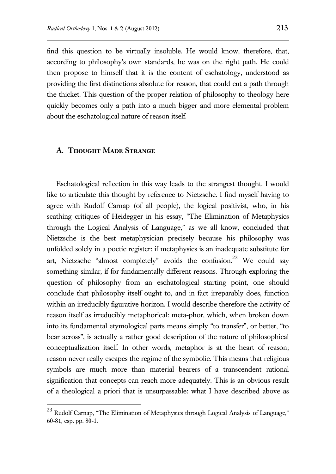find this question to be virtually insoluble. He would know, therefore, that, according to philosophy's own standards, he was on the right path. He could then propose to himself that it is the content of eschatology, understood as providing the first distinctions absolute for reason, that could cut a path through the thicket. This question of the proper relation of philosophy to theology here quickly becomes only a path into a much bigger and more elemental problem about the eschatological nature of reason itself.

#### **A. Thought Made Strange**

 $\overline{a}$ 

Eschatological reflection in this way leads to the strangest thought. I would like to articulate this thought by reference to Nietzsche. I find myself having to agree with Rudolf Carnap (of all people), the logical positivist, who, in his scathing critiques of Heidegger in his essay, "The Elimination of Metaphysics through the Logical Analysis of Language," as we all know, concluded that Nietzsche is the best metaphysician precisely because his philosophy was unfolded solely in a poetic register: if metaphysics is an inadequate substitute for art, Nietzsche "almost completely" avoids the confusion.<sup>23</sup> We could say something similar, if for fundamentally different reasons. Through exploring the question of philosophy from an eschatological starting point, one should conclude that philosophy itself ought to, and in fact irreparably does, function within an irreducibly figurative horizon. I would describe therefore the activity of reason itself as irreducibly metaphorical: meta-phor, which, when broken down into its fundamental etymological parts means simply "to transfer", or better, "to bear across", is actually a rather good description of the nature of philosophical conceptualization itself. In other words, metaphor is at the heart of reason; reason never really escapes the regime of the symbolic. This means that religious symbols are much more than material bearers of a transcendent rational signification that concepts can reach more adequately. This is an obvious result of a theological a priori that is unsurpassable: what I have described above as

 $^{23}$  Rudolf Carnap, "The Elimination of Metaphysics through Logical Analysis of Language," 60-81, esp. pp. 80-1.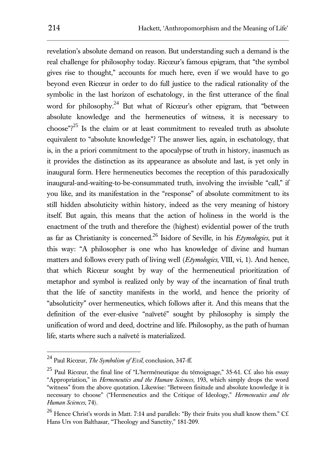revelation's absolute demand on reason. But understanding such a demand is the real challenge for philosophy today. Ricœur's famous epigram, that "the symbol gives rise to thought," accounts for much here, even if we would have to go beyond even Ricœur in order to do full justice to the radical rationality of the symbolic in the last horizon of eschatology, in the first utterance of the final word for philosophy.<sup>24</sup> But what of Ricœur's other epigram, that "between absolute knowledge and the hermeneutics of witness, it is necessary to choose"?<sup>25</sup> Is the claim or at least commitment to revealed truth as absolute equivalent to "absolute knowledge"? The answer lies, again, in eschatology, that is, in the a priori commitment to the apocalypse of truth in history, inasmuch as it provides the distinction as its appearance as absolute and last, is yet only in inaugural form. Here hermeneutics becomes the reception of this paradoxically inaugural-and-waiting-to-be-consummated truth, involving the invisible "call," if you like, and its manifestation in the "response" of absolute commitment to its still hidden absoluticity within history, indeed as the very meaning of history itself. But again, this means that the action of holiness in the world is the enactment of the truth and therefore the (highest) evidential power of the truth as far as Christianity is concerned.<sup>26</sup> Isidore of Seville, in his *Etymologies*, put it this way: "A philosopher is one who has knowledge of divine and human matters and follows every path of living well (*Etymologies*, VIII, vi, 1). And hence, that which Ricœur sought by way of the hermeneutical prioritization of metaphor and symbol is realized only by way of the incarnation of final truth that the life of sanctity manifests in the world, and hence the priority of "absoluticity" over hermeneutics, which follows after it. And this means that the definition of the ever-elusive "naïveté" sought by philosophy is simply the unification of word and deed, doctrine and life. Philosophy, as the path of human life, starts where such a naïveté is materialized.

<sup>24</sup> Paul Ricœur, *The Symbolism of Evil*, conclusion, 347-ff.

<sup>25</sup> Paul Ricœur, the final line of "L'herméneutique du témoignage," 35-61. Cf. also his essay "Appropriation," in *Hermeneutics and the Human Sciences*, 193, which simply drops the word "witness" from the above quotation. Likewise: "Between finitude and absolute knowledge it is necessary to choose" ("Hermeneutics and the Critique of Ideology," *Hermeneutics and the Human Sciences*, 74).

<sup>&</sup>lt;sup>26</sup> Hence Christ's words in Matt. 7:14 and parallels: "By their fruits you shall know them." Cf. Hans Urs von Balthasar, "Theology and Sanctity," 181-209.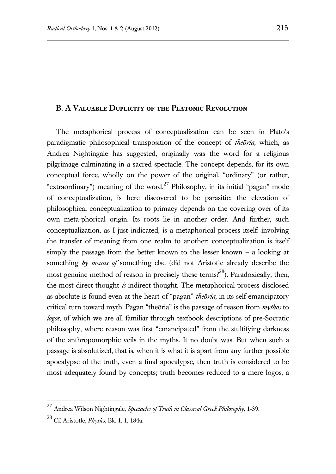### **B. A Valuable Duplicity of the Platonic Revolution**

The metaphorical process of conceptualization can be seen in Plato's paradigmatic philosophical transposition of the concept of *theōria*, which, as Andrea Nightingale has suggested, originally was the word for a religious pilgrimage culminating in a sacred spectacle. The concept depends, for its own conceptual force, wholly on the power of the original, "ordinary" (or rather, "extraordinary") meaning of the word.<sup>27</sup> Philosophy, in its initial "pagan" mode of conceptualization, is here discovered to be parasitic: the elevation of philosophical conceptualization to primacy depends on the covering over of its own meta-phorical origin. Its roots lie in another order. And further, such conceptualization, as I just indicated, is a metaphorical process itself: involving the transfer of meaning from one realm to another; conceptualization is itself simply the passage from the better known to the lesser known – a looking at something *by means of* something else (did not Aristotle already describe the most genuine method of reason in precisely these terms?<sup>28</sup>). Paradoxically, then, the most direct thought *is* indirect thought. The metaphorical process disclosed as absolute is found even at the heart of "pagan" *theōria*, in its self-emancipatory critical turn toward myth. Pagan "theōria" is the passage of reason from *mythos* to *logos*, of which we are all familiar through textbook descriptions of pre-Socratic philosophy, where reason was first "emancipated" from the stultifying darkness of the anthropomorphic veils in the myths. It no doubt was. But when such a passage is absolutized, that is, when it is what it is apart from any further possible apocalypse of the truth, even a final apocalypse, then truth is considered to be most adequately found by concepts; truth becomes reduced to a mere logos, a

<sup>27</sup> Andrea Wilson Nightingale, *Spectacles of Truth in Classical Greek Philosophy,* 1-39.

<sup>28</sup> Cf. Aristotle, *Physics*, Bk. 1, 1, 184a.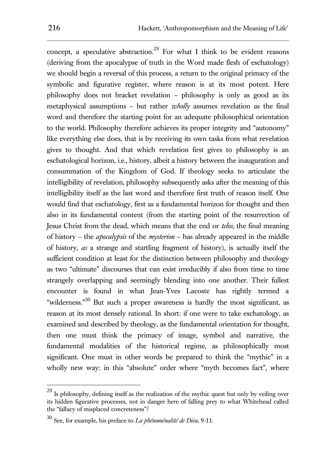concept, a speculative abstraction.<sup>29</sup> For what I think to be evident reasons (deriving from the apocalypse of truth in the Word made flesh of eschatology) we should begin a reversal of this process, a return to the original primacy of the symbolic and figurative register, where reason is at its most potent. Here philosophy does not bracket revelation – philosophy is only as good as its metaphysical assumptions – but rather *wholly* assumes revelation as the final word and therefore the starting point for an adequate philosophical orientation to the world. Philosophy therefore achieves its proper integrity and "autonomy" like everything else does, that is by receiving its own tasks from what revelation gives to thought. And that which revelation first gives to philosophy is an eschatological horizon, i.e., history, albeit a history between the inauguration and consummation of the Kingdom of God. If theology seeks to articulate the intelligibility of revelation, philosophy subsequently asks after the meaning of this intelligibility itself as the last word and therefore first truth of reason itself. One would find that eschatology, first as a fundamental horizon for thought and then also in its fundamental content (from the starting point of the resurrection of Jesus Christ from the dead, which means that the end or *telos*, the final meaning of history – the *apocalypsis* of the *mysterion* – has already appeared in the middle of history, *as* a strange and startling fragment of history), is actually itself the sufficient condition at least for the distinction between philosophy and theology as two "ultimate" discourses that can exist irreducibly if also from time to time strangely overlapping and seemingly blending into one another. Their fullest encounter is found in what Jean-Yves Lacoste has rightly termed a "wilderness."<sup>30</sup> But such a proper awareness is hardly the most significant, as reason at its most densely rational. In short: if one were to take eschatology, as examined and described by theology, as the fundamental orientation for thought, then one must think the primacy of image, symbol and narrative, the fundamental modalities of the historical regime, as philosophically most significant. One must in other words be prepared to think the "mythic" in a wholly new way: in this "absolute" order where "myth becomes fact", where

<sup>&</sup>lt;sup>29</sup> Is philosophy, defining itself as the realization of the mythic quest but only by veiling over its hidden figurative processes, not in danger here of falling prey to what Whitehead called the "fallacy of misplaced concreteness"?

<sup>30</sup> See, for example, his preface to *La phénoménalité de Dieu*, 9-11.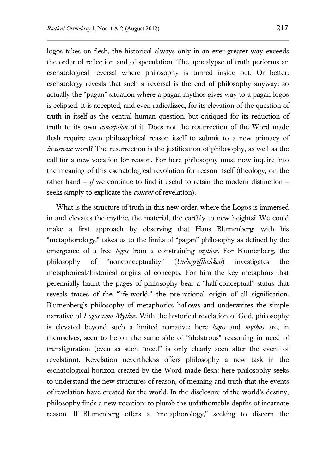logos takes on flesh, the historical always only in an ever-greater way exceeds the order of reflection and of speculation. The apocalypse of truth performs an eschatological reversal where philosophy is turned inside out. Or better: eschatology reveals that such a reversal is the end of philosophy anyway: so actually the "pagan" situation where a pagan mythos gives way to a pagan logos is eclipsed. It is accepted, and even radicalized, for its elevation of the question of truth in itself as the central human question, but critiqued for its reduction of truth to its own *conception* of it. Does not the resurrection of the Word made flesh require even philosophical reason itself to submit to a new primacy of *incarnate* word? The resurrection is the justification of philosophy, as well as the call for a new vocation for reason. For here philosophy must now inquire into the meaning of this eschatological revolution for reason itself (theology, on the other hand  $-$  *if* we continue to find it useful to retain the modern distinction  $$ seeks simply to explicate the *content* of revelation).

What is the structure of truth in this new order, where the Logos is immersed in and elevates the mythic, the material, the earthly to new heights? We could make a first approach by observing that Hans Blumenberg, with his "metaphorology," takes us to the limits of "pagan" philosophy as defined by the emergence of a free *logos* from a constraining *mythos*. For Blumenberg, the philosophy of "nonconceptuality" (*Unbegrifflichkeit*) investigates the metaphorical/historical origins of concepts. For him the key metaphors that perennially haunt the pages of philosophy bear a "half-conceptual" status that reveals traces of the "life-world," the pre-rational origin of all signification. Blumenberg's philosophy of metaphorics hallows and underwrites the simple narrative of *Logos vom Mythos*. With the historical revelation of God, philosophy is elevated beyond such a limited narrative; here *logos* and *mythos* are, in themselves, seen to be on the same side of "idolatrous" reasoning in need of transfiguration (even as such "need" is only clearly seen after the event of revelation). Revelation nevertheless offers philosophy a new task in the eschatological horizon created by the Word made flesh: here philosophy seeks to understand the new structures of reason, of meaning and truth that the events of revelation have created for the world. In the disclosure of the world's destiny, philosophy finds a new vocation: to plumb the unfathomable depths of incarnate reason. If Blumenberg offers a "metaphorology," seeking to discern the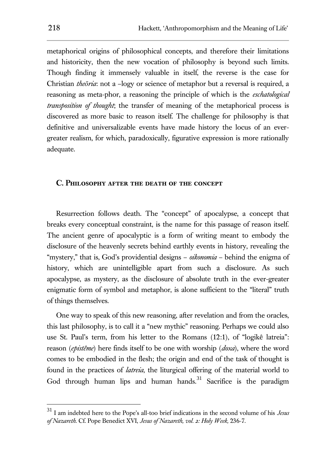metaphorical origins of philosophical concepts, and therefore their limitations and historicity, then the new vocation of philosophy is beyond such limits. Though finding it immensely valuable in itself, the reverse is the case for Christian *theōria*: not a –logy or science of metaphor but a reversal is required, a reasoning as meta-phor, a reasoning the principle of which is the *eschatological transposition of thought*; the transfer of meaning of the metaphorical process is discovered as more basic to reason itself. The challenge for philosophy is that definitive and universalizable events have made history the locus of an evergreater realism, for which, paradoxically, figurative expression is more rationally adequate.

#### **C. Philosophy after the death of the concept**

Resurrection follows death. The "concept" of apocalypse, a concept that breaks every conceptual constraint, is the name for this passage of reason itself. The ancient genre of apocalyptic is a form of writing meant to embody the disclosure of the heavenly secrets behind earthly events in history, revealing the "mystery," that is, God's providential designs – *oikonomia* – behind the enigma of history, which are unintelligible apart from such a disclosure. As such apocalypse, as mystery, as the disclosure of absolute truth in the ever-greater enigmatic form of symbol and metaphor, is alone sufficient to the "literal" truth of things themselves.

One way to speak of this new reasoning, after revelation and from the oracles, this last philosophy, is to call it a "new mythic" reasoning. Perhaps we could also use St. Paul's term, from his letter to the Romans (12:1), of "logikê latreia": reason (*epistême*) here finds itself to be one with worship (*doxa*), where the word comes to be embodied in the flesh; the origin and end of the task of thought is found in the practices of *latreia*, the liturgical offering of the material world to God through human lips and human hands.<sup>31</sup> Sacrifice is the paradigm

<sup>31</sup> I am indebted here to the Pope's all-too brief indications in the second volume of his *Jesus of Nazareth*. Cf. Pope Benedict XVI, *Jesus of Nazareth, vol. 2: Holy Week,* 236-7.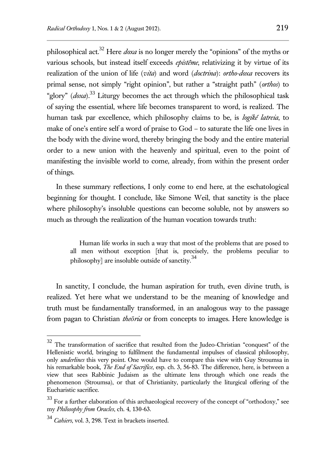philosophical act.<sup>32</sup> Here *doxa* is no longer merely the "opinions" of the myths or various schools, but instead itself exceeds *epistême*, relativizing it by virtue of its realization of the union of life (*vita*) and word (*doctrina*): *ortho-doxa* recovers its primal sense, not simply "right opinion", but rather a "straight path" (*orthos*) to "glory" (*doxa*). <sup>33</sup> Liturgy becomes the act through which the philosophical task of saying the essential, where life becomes transparent to word, is realized. The human task par excellence, which philosophy claims to be, is *logiké latreia*, to make of one's entire self a word of praise to God – to saturate the life one lives in the body with the divine word, thereby bringing the body and the entire material order to a new union with the heavenly and spiritual, even to the point of manifesting the invisible world to come, already, from within the present order of things.

In these summary reflections, I only come to end here, at the eschatological beginning for thought. I conclude, like Simone Weil, that sanctity is the place where philosophy's insoluble questions can become soluble, not by answers so much as through the realization of the human vocation towards truth:

Human life works in such a way that most of the problems that are posed to all men without exception [that is, precisely, the problems peculiar to philosophy] are insoluble outside of sanctity.<sup>34</sup>

In sanctity, I conclude, the human aspiration for truth, even divine truth, is realized. Yet here what we understand to be the meaning of knowledge and truth must be fundamentally transformed, in an analogous way to the passage from pagan to Christian *theōria* or from concepts to images. Here knowledge is

<sup>&</sup>lt;sup>32</sup> The transformation of sacrifice that resulted from the Judeo-Christian "conquest" of the Hellenistic world, bringing to fulfilment the fundamental impulses of classical philosophy, only *underlines* this very point. One would have to compare this view with Guy Stroumsa in his remarkable book, *The End of Sacrifice*, esp. ch. 3, 56-83. The difference, here, is between a view that sees Rabbinic Judaism as the ultimate lens through which one reads the phenomenon (Stroumsa), or that of Christianity, particularly the liturgical offering of the Eucharistic sacrifice.

 $33$  For a further elaboration of this archaeological recovery of the concept of "orthodoxy," see my *Philosophy from Oracles*, ch. 4, 130-63.

<sup>34</sup> *Cahiers*, vol. 3, 298. Text in brackets inserted.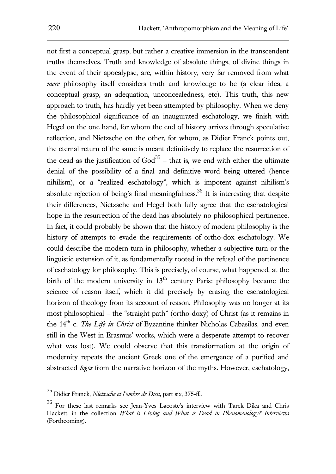not first a conceptual grasp, but rather a creative immersion in the transcendent truths themselves. Truth and knowledge of absolute things, of divine things in the event of their apocalypse, are, within history, very far removed from what *mere* philosophy itself considers truth and knowledge to be (a clear idea, a conceptual grasp, an adequation, unconcealedness, etc). This truth, this new approach to truth, has hardly yet been attempted by philosophy. When we deny the philosophical significance of an inaugurated eschatology, we finish with Hegel on the one hand, for whom the end of history arrives through speculative reflection, and Nietzsche on the other, for whom, as Didier Franck points out, the eternal return of the same is meant definitively to replace the resurrection of the dead as the justification of  $God^{35}$  – that is, we end with either the ultimate denial of the possibility of a final and definitive word being uttered (hence nihilism), or a "realized eschatology", which is impotent against nihilism's absolute rejection of being's final meaningfulness.<sup>36</sup> It is interesting that despite their differences, Nietzsche and Hegel both fully agree that the eschatological hope in the resurrection of the dead has absolutely no philosophical pertinence. In fact, it could probably be shown that the history of modern philosophy is the history of attempts to evade the requirements of ortho-dox eschatology. We could describe the modern turn in philosophy, whether a subjective turn or the linguistic extension of it, as fundamentally rooted in the refusal of the pertinence of eschatology for philosophy. This is precisely, of course, what happened, at the birth of the modern university in  $13<sup>th</sup>$  century Paris: philosophy became the science of reason itself, which it did precisely by erasing the eschatological horizon of theology from its account of reason. Philosophy was no longer at its most philosophical – the "straight path" (ortho-doxy) of Christ (as it remains in the 14<sup>th</sup> c. *The Life in Christ* of Byzantine thinker Nicholas Cabasilas, and even still in the West in Erasmus' works, which were a desperate attempt to recover what was lost). We could observe that this transformation at the origin of modernity repeats the ancient Greek one of the emergence of a purified and abstracted *logos* from the narrative horizon of the myths. However, eschatology,

<sup>35</sup> Didier Franck, *Nietzsche et l'ombre de Dieu*, part six, 375-ff..

<sup>36</sup> For these last remarks see Jean-Yves Lacoste's interview with Tarek Dika and Chris Hackett, in the collection *What is Living and What is Dead in Phenomenology? Interviews* (Forthcoming).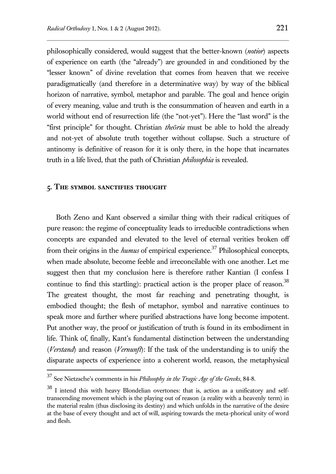philosophically considered, would suggest that the better-known (*notior*) aspects of experience on earth (the "already") are grounded in and conditioned by the "lesser known" of divine revelation that comes from heaven that we receive paradigmatically (and therefore in a determinative way) by way of the biblical horizon of narrative, symbol, metaphor and parable. The goal and hence origin of every meaning, value and truth is the consummation of heaven and earth in a world without end of resurrection life (the "not-yet"). Here the "last word" is the "first principle" for thought. Christian *theōria* must be able to hold the already and not-yet of absolute truth together without collapse. Such a structure of antinomy is definitive of reason for it is only there, in the hope that incarnates truth in a life lived, that the path of Christian *philosophia* is revealed.

#### **5. The symbol sanctifies thought**

 $\overline{a}$ 

Both Zeno and Kant observed a similar thing with their radical critiques of pure reason: the regime of conceptuality leads to irreducible contradictions when concepts are expanded and elevated to the level of eternal verities broken off from their origins in the *humus* of empirical experience.<sup>37</sup> Philosophical concepts, when made absolute, become feeble and irreconcilable with one another. Let me suggest then that my conclusion here is therefore rather Kantian (I confess I continue to find this startling): practical action is the proper place of reason.<sup>38</sup> The greatest thought, the most far reaching and penetrating thought, is embodied thought; the flesh of metaphor, symbol and narrative continues to speak more and further where purified abstractions have long become impotent. Put another way, the proof or justification of truth is found in its embodiment in life. Think of, finally, Kant's fundamental distinction between the understanding (*Verstand*) and reason (*Vernunft*): If the task of the understanding is to unify the disparate aspects of experience into a coherent world, reason, the metaphysical

<sup>37</sup> See Nietzsche's comments in his *Philosophy in the Tragic Age of the Greeks*, 84-8.

<sup>38</sup> I intend this with heavy Blondelian overtones: that is, action as a unificatory and selftranscending movement which is the playing out of reason (a reality with a heavenly term) in the material realm (thus disclosing its destiny) and which unfolds in the narrative of the desire at the base of every thought and act of will, aspiring towards the meta-phorical unity of word and flesh.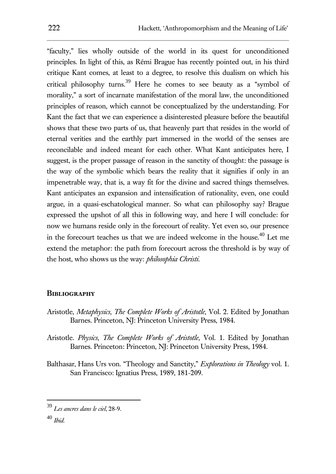"faculty," lies wholly outside of the world in its quest for unconditioned principles. In light of this, as Rémi Brague has recently pointed out, in his third critique Kant comes, at least to a degree, to resolve this dualism on which his critical philosophy turns.<sup>39</sup> Here he comes to see beauty as a "symbol of morality," a sort of incarnate manifestation of the moral law, the unconditioned principles of reason, which cannot be conceptualized by the understanding. For Kant the fact that we can experience a disinterested pleasure before the beautiful shows that these two parts of us, that heavenly part that resides in the world of eternal verities and the earthly part immersed in the world of the senses are reconcilable and indeed meant for each other. What Kant anticipates here, I suggest, is the proper passage of reason in the sanctity of thought: the passage is the way of the symbolic which bears the reality that it signifies if only in an impenetrable way, that is, a way fit for the divine and sacred things themselves. Kant anticipates an expansion and intensification of rationality, even, one could argue, in a quasi-eschatological manner. So what can philosophy say? Brague expressed the upshot of all this in following way, and here I will conclude: for now we humans reside only in the forecourt of reality. Yet even so, our presence in the forecourt teaches us that we are indeed welcome in the house.<sup>40</sup> Let me extend the metaphor: the path from forecourt across the threshold is by way of the host, who shows us the way: *philosophia Christi*.

## **Bibliography**

- Aristotle, *Metaphysics*, *The Complete Works of Aristotle*, Vol. 2. Edited by Jonathan Barnes. Princeton, NJ: Princeton University Press, 1984.
- Aristotle. *Physics*, *The Complete Works of Aristotle*, Vol. 1. Edited by Jonathan Barnes. Princeton: Princeton, NJ: Princeton University Press, 1984.
- Balthasar, Hans Urs von. "Theology and Sanctity," *Explorations in Theology* vol. 1. San Francisco: Ignatius Press, 1989, 181-209.

<sup>39</sup> *Les ancres dans le ciel*, 28-9.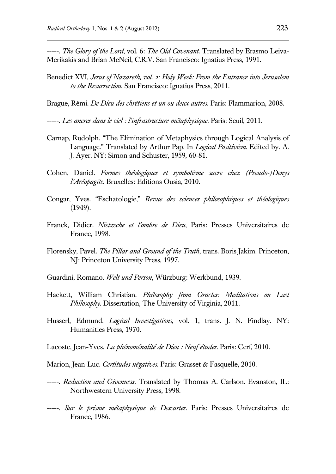-----*. The Glory of the Lord*, vol. 6: *The Old Covenant*. Translated by Erasmo Leiva-Merikakis and Brian McNeil, C.R.V. San Francisco: Ignatius Press, 1991.

Benedict XVI, *Jesus of Nazareth, vol. 2: Holy Week: From the Entrance into Jerusalem to the Resurrection.* San Francisco: Ignatius Press, 2011.

Brague, Rémi. *De Dieu des chrétiens et un ou deux autres*. Paris: Flammarion, 2008.

-----. *Les ancres dans le ciel : l'infrastructure métaphysique*. Paris: Seuil, 2011.

- Carnap, Rudolph. "The Elimination of Metaphysics through Logical Analysis of Language." Translated by Arthur Pap. In *Logical Positivism*. Edited by. A. J. Ayer. NY: Simon and Schuster, 1959, 60-81.
- Cohen, Daniel. *Formes théologiques et symbolisme sacre chez (Pseudo-)Denys l'Aréopagite*. Bruxelles: Editions Ousia, 2010.
- Congar, Yves. "Eschatologie," *Revue des sciences philosophiques et théologiques* (1949).
- Franck, Didier. *Nietzsche et l'ombre de Dieu*, Paris: Presses Universitaires de France, 1998.
- Florensky, Pavel. *The Pillar and Ground of the Truth*, trans. Boris Jakim. Princeton, NJ: Princeton University Press, 1997.
- Guardini, Romano. *Welt und Person*, Würzburg: Werkbund, 1939.
- Hackett, William Christian. *Philosophy from Oracles: Meditations on Last Philosophy*. Dissertation, The University of Virginia, 2011.
- Husserl, Edmund. *Logical Investigations*, vol. 1, trans. J. N. Findlay. NY: Humanities Press, 1970.
- Lacoste, Jean-Yves. *La phénoménalité de Dieu : Neuf études*. Paris: Cerf, 2010.
- Marion, Jean-Luc. *Certitudes négatives*. Paris: Grasset & Fasquelle, 2010.
- -----. *Reduction and Givenness*. Translated by Thomas A. Carlson. Evanston, IL: Northwestern University Press, 1998.
- -----. *Sur le prisme métaphysique de Descartes*. Paris: Presses Universitaires de France, 1986.